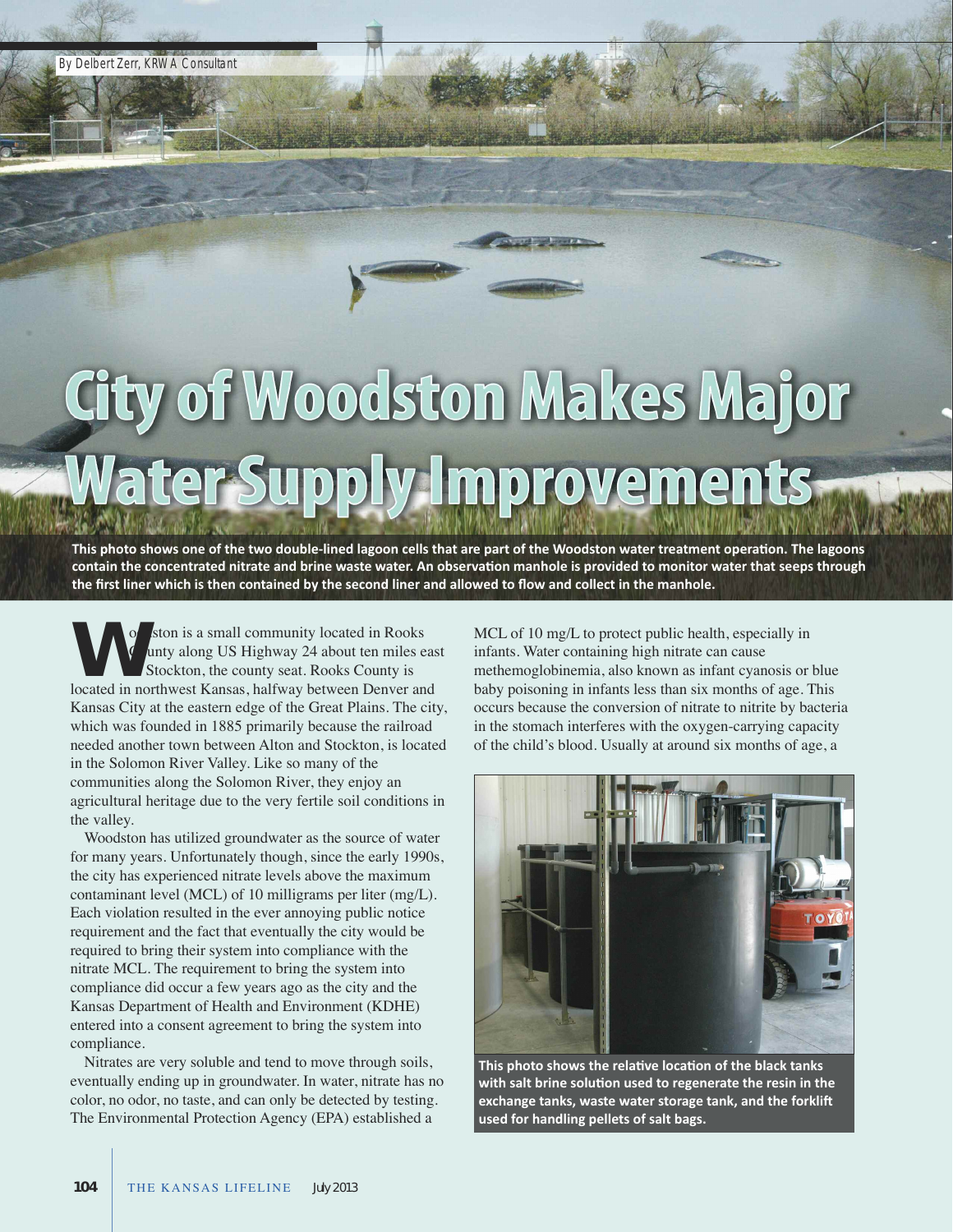## City of Woodston Makes Major Water Supply Improvements

This photo shows one of the two double-lined lagoon cells that are part of the Woodston water treatment operation. The lagoons contain the concentrated nitrate and brine waste water. An observation manhole is provided to monitor water that seeps through the first liner which is then contained by the second liner and allowed to flow and collect in the manhole.

oodston is a small community located in Rooks County along Us highway 24 about ten miles east of stockton, the county seat. Rooks County is **Manuson Schools** County along US Highway 24 about ten miles ea of Stockton, the county seat. Rooks County is located in northwest Kansas, halfway between Denver and Kansas City at the eastern edge of the Great Plains. The city, which was founded in 1885 primarily because the railroad needed another town between alton and stockton, is located in the solomon River Valley. Like so many of the communities along the Solomon River, they enjoy an agricultural heritage due to the very fertile soil conditions in the valley.

Woodston has utilized groundwater as the source of water for many years. Unfortunately though, since the early 1990s, the city has experienced nitrate levels above the maximum contaminant level (MCL) of 10 milligrams per liter (mg/L). Each violation resulted in the ever annoying public notice requirement and the fact that eventually the city would be required to bring their system into compliance with the nitrate MCL. The requirement to bring the system into compliance did occur a few years ago as the city and the Kansas Department of Health and Environment (KDHE) entered into a consent agreement to bring the system into compliance.

Nitrates are very soluble and tend to move through soils, eventually ending up in groundwater. In water, nitrate has no color, no odor, no taste, and can only be detected by testing. The Environmental Protection Agency (EPA) established a

MCL of 10 mg/L to protect public health, especially in infants. Water containing high nitrate can cause methemoglobinemia, also known as infant cyanosis or blue baby poisoning in infants less than six months of age. This occurs because the conversion of nitrate to nitrite by bacteria in the stomach interferes with the oxygen-carrying capacity of the child's blood. Usually at around six months of age, a



**This photo shows the relative location of the black tanks with salt brine solution used to regenerate the resin in the exchange tanks, waste water storage tank, and the forklift used for handling pellets of salt bags.**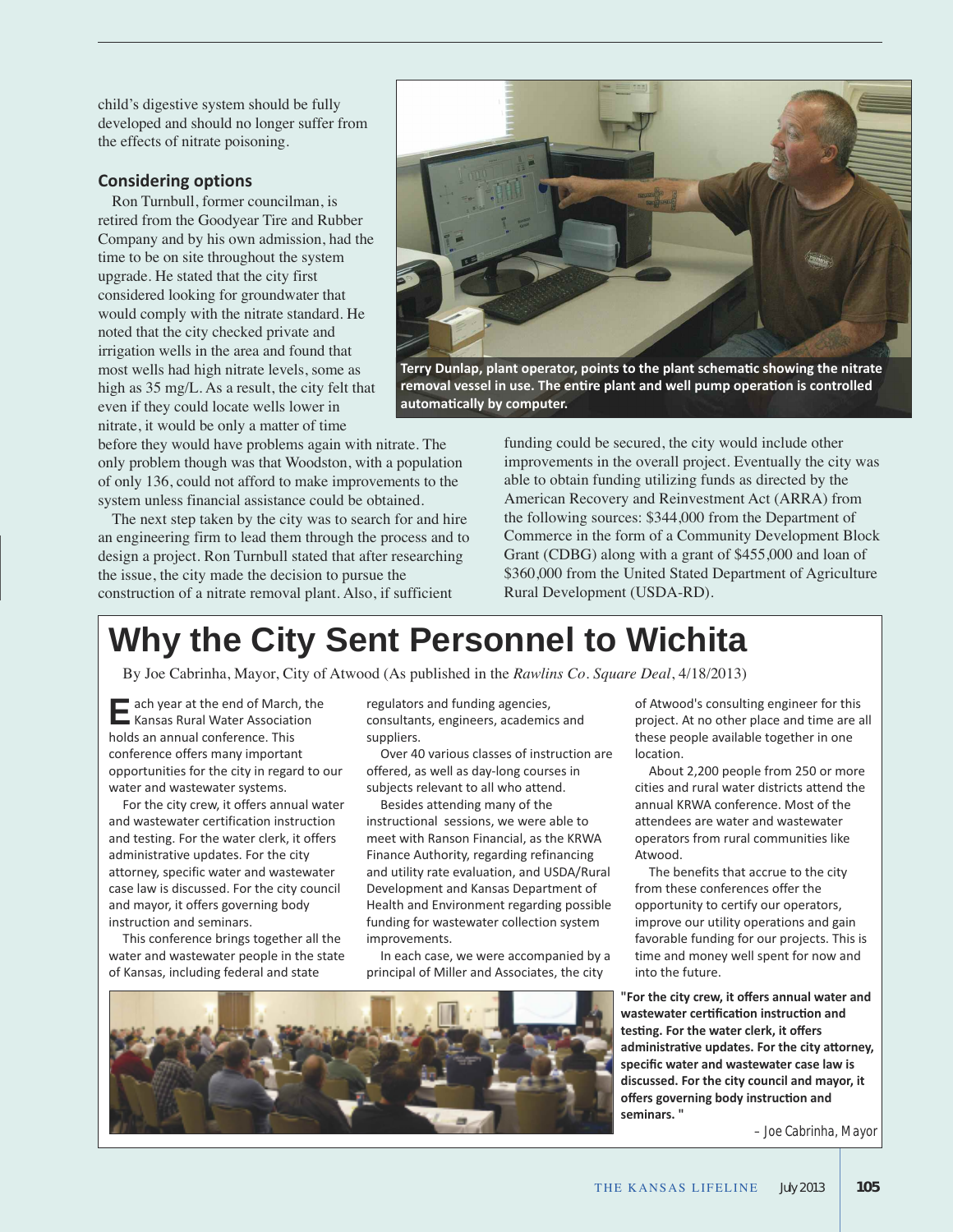child's digestive system should be fully developed and should no longer suffer from the effects of nitrate poisoning.

## **Considering options**

Ron Turnbull, former councilman, is retired from the Goodyear Tire and Rubber Company and by his own admission, had the time to be on site throughout the system upgrade. he stated that the city first considered looking for groundwater that would comply with the nitrate standard. he noted that the city checked private and irrigation wells in the area and found that most wells had high nitrate levels, some as high as  $35 \text{ mg/L}$ . As a result, the city felt that even if they could locate wells lower in nitrate, it would be only a matter of time

before they would have problems again with nitrate. The only problem though was that Woodston, with a population of only 136, could not afford to make improvements to the system unless financial assistance could be obtained.

The next step taken by the city was to search for and hire an engineering firm to lead them through the process and to design a project. Ron Turnbull stated that after researching the issue, the city made the decision to pursue the construction of a nitrate removal plant. Also, if sufficient

funding could be secured, the city would include other improvements in the overall project. Eventually the city was able to obtain funding utilizing funds as directed by the American Recovery and Reinvestment Act (ARRA) from the following sources: \$344,000 from the Department of Commerce in the form of a Community Development Block Grant (CDBG) along with a grant of \$455,000 and loan of \$360,000 from the United Stated Department of Agriculture Rural Development (UsDa-RD). **removal vessel in use. The entire plant and well pump operation is controlled automatically by computer.**

## **Why the City Sent Personnel to Wichita**

By Joe Cabrinha, Mayor, City of atwood (as published in the *Rawlins Co*. *Square Deal*, 4/18/2013)

**E** ach year at the end of March, the **.**<br>■ Kansas Rural Water Association holds an annual conference. This conference offers many important opportunities for the city in regard to our water and wastewater systems.

For the city crew, it offers annual water and wastewater certification instruction and testing. For the water clerk, it offers administrative updates. For the city attorney, specific water and wastewater case law is discussed. For the city council and mayor, it offers governing body instruction and seminars.

This conference brings together all the water and wastewater people in the state of Kansas, including federal and state

regulators and funding agencies, consultants, engineers, academics and suppliers.

Over 40 various classes of instruction are offered, as well as day-long courses in subjects relevant to all who attend.

Besides attending many of the instructional sessions, we were able to meet with Ranson Financial, as the KRWA Finance Authority, regarding refinancing and utility rate evaluation, and USDA/Rural Development and Kansas Department of Health and Environment regarding possible funding for wastewater collection system improvements.

In each case, we were accompanied by a principal of Miller and Associates, the city

of Atwood's consulting engineer for this project. At no other place and time are all these people available together in one location.

About 2,200 people from 250 or more cities and rural water districts attend the annual KRWA conference. Most of the attendees are water and wastewater operators from rural communities like Atwood.

The benefits that accrue to the city from these conferences offer the opportunity to certify our operators, improve our utility operations and gain favorable funding for our projects. This is time and money well spent for now and into the future.

**"For the city crew, it offers annual water and wastewater certification instruction and testing. For the water clerk, it offers administrative updates. For the city attorney, specific water and wastewater case law is discussed. For the city council and mayor, it offers governing body instruction and seminars. "**

*– Joe Cabrinha, Mayor*



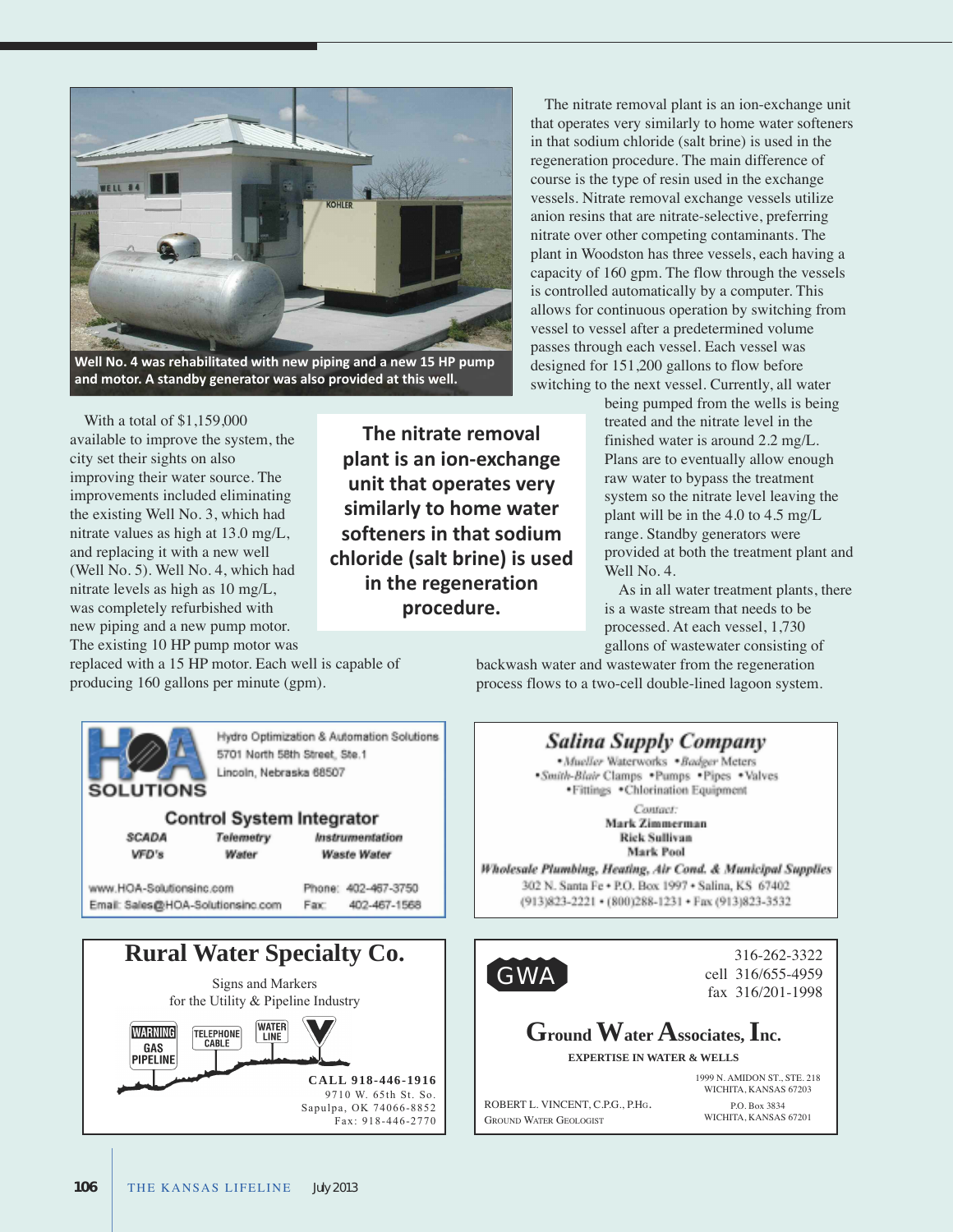

**Well No. 4 was rehabilitated with new piping and a new 15 HP pump and motor. A standby generator was also provided at this well.**

With a total of \$1,159,000 available to improve the system, the city set their sights on also improving their water source. The improvements included eliminating the existing Well No. 3, which had nitrate values as high at 13.0 mg/L, and replacing it with a new well (Well No. 5). Well No. 4, which had nitrate levels as high as 10 mg/L, was completely refurbished with new piping and a new pump motor. The existing 10 HP pump motor was

**The nitrate removal plant is an ion-exchange unit that operates very similarly to home water softeners in that sodium chloride (salt brine) is used in the regeneration procedure.**

The nitrate removal plant is an ion-exchange unit that operates very similarly to home water softeners in that sodium chloride (salt brine) is used in the regeneration procedure. The main difference of course is the type of resin used in the exchange vessels. Nitrate removal exchange vessels utilize anion resins that are nitrate-selective, preferring nitrate over other competing contaminants. The plant in Woodston has three vessels, each having a capacity of 160 gpm. The flow through the vessels is controlled automatically by a computer. This allows for continuous operation by switching from vessel to vessel after a predetermined volume passes through each vessel. Each vessel was designed for 151,200 gallons to flow before switching to the next vessel. Currently, all water

being pumped from the wells is being treated and the nitrate level in the finished water is around 2.2 mg/L. Plans are to eventually allow enough raw water to bypass the treatment system so the nitrate level leaving the plant will be in the 4.0 to 4.5 mg/L range. Standby generators were provided at both the treatment plant and Well No. 4.

As in all water treatment plants, there is a waste stream that needs to be processed. at each vessel, 1,730 gallons of wastewater consisting of

replaced with a 15 HP motor. Each well is capable of producing 160 gallons per minute (gpm).

backwash water and wastewater from the regeneration process flows to a two-cell double-lined lagoon system.



**Salina Supply Company** Mueller Waterworks . Badger Meters -Smith-Blair Clamps . Pumps . Pipes . Valves · Fittings · Chlorination Equipment

> Contact: Mark Zimmerman **Rick Sullivan** Mark Pool

Wholesale Plumbing, Heating, Air Cond. & Municipal Supplies 302 N. Santa Fe . P.O. Box 1997 . Salina, KS 67402 (913)823-2221 · (800)288-1231 · Fax (913)823-3532



**GroundWaterAssociates,Inc.**

**EXPERTISE IN WATER & WELLS**

1999 n. aMiDOn sT., sTe. 218 WiChiTa, Kansas 67203 P.O. Box 3834

WiChiTa, Kansas 67201